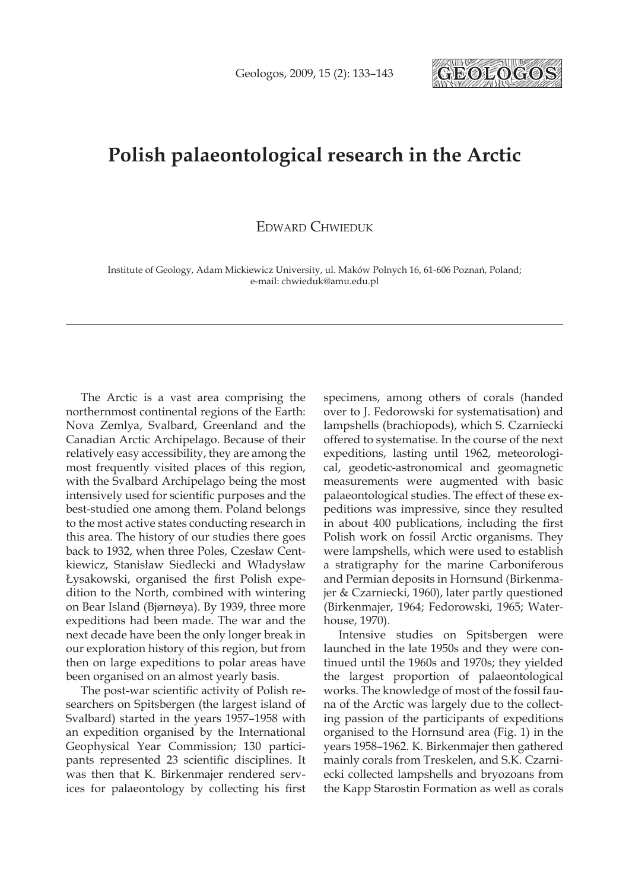

# **Polish palaeontological research in the Arctic**

EDWARD CHWIEDUK

Institute of Geology, Adam Mickiewicz University, ul. Maków Polnych 16, 61-606 Poznań, Poland; e-mail: chwieduk@amu.edu.pl

The Arctic is a vast area comprising the northernmost continental regions of the Earth: Nova Zemlya, Svalbard, Greenland and the Canadian Arctic Archipelago. Because of their relatively easy accessibility, they are among the most frequently visited places of this region, with the Svalbard Archipelago being the most intensively used for scientific purposes and the best-studied one among them. Poland belongs to the most active states conducting research in this area. The history of our studies there goes back to 1932, when three Poles, Czesław Centkiewicz, Stanisław Siedlecki and Władysław Łysakowski, organised the first Polish expedition to the North, combined with wintering on Bear Island (Bjørnøya). By 1939, three more expeditions had been made. The war and the next decade have been the only longer break in our exploration history of this region, but from then on large expeditions to polar areas have been organised on an almost yearly basis.

The post-war scientific activity of Polish researchers on Spitsbergen (the largest island of Svalbard) started in the years 1957–1958 with an expedition organised by the International Geophysical Year Commission; 130 participants represented 23 scientific disciplines. It was then that K. Birkenmajer rendered services for palaeontology by collecting his first specimens, among others of corals (handed over to J. Fedorowski for systematisation) and lampshells (brachiopods), which S. Czarniecki offered to systematise. In the course of the next expeditions, lasting until 1962, meteorological, geodetic-astronomical and geomagnetic measurements were augmented with basic palaeontological studies. The effect of these expeditions was impressive, since they resulted in about 400 publications, including the first Polish work on fossil Arctic organisms. They were lampshells, which were used to establish a stratigraphy for the marine Carboniferous and Permian deposits in Hornsund (Birkenmajer & Czarniecki, 1960), later partly questioned (Birkenmajer, 1964; Fedorowski, 1965; Waterhouse, 1970).

Intensive studies on Spitsbergen were launched in the late 1950s and they were continued until the 1960s and 1970s; they yielded the largest proportion of palaeontological works. The knowledge of most of the fossil fauna of the Arctic was largely due to the collecting passion of the participants of expeditions organised to the Hornsund area (Fig. 1) in the years 1958–1962. K. Birkenmajer then gathered mainly corals from Treskelen, and S.K. Czarniecki collected lampshells and bryozoans from the Kapp Starostin Formation as well as corals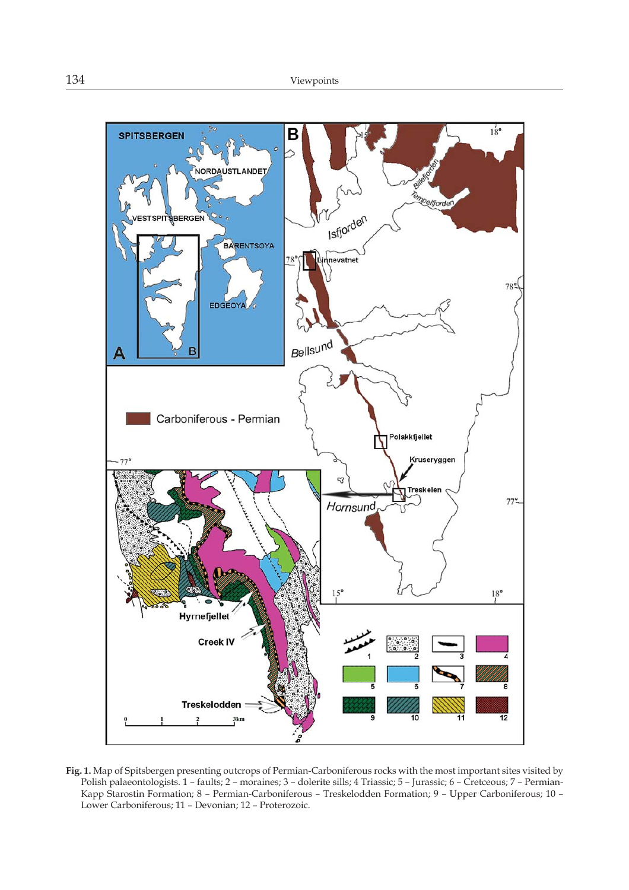

**Fig. 1.** Map of Spitsbergen presenting outcrops of Permian-Carboniferous rocks with the most important sites visited by Polish palaeontologists. 1 – faults; 2 – moraines; 3 – dolerite sills; 4 Triassic; 5 – Jurassic; 6 – Cretceous; 7 – Permian-Kapp Starostin Formation; 8 – Permian-Carboniferous – Treskelodden Formation; 9 – Upper Carboniferous; 10 – Lower Carboniferous; 11 – Devonian; 12 – Proterozoic.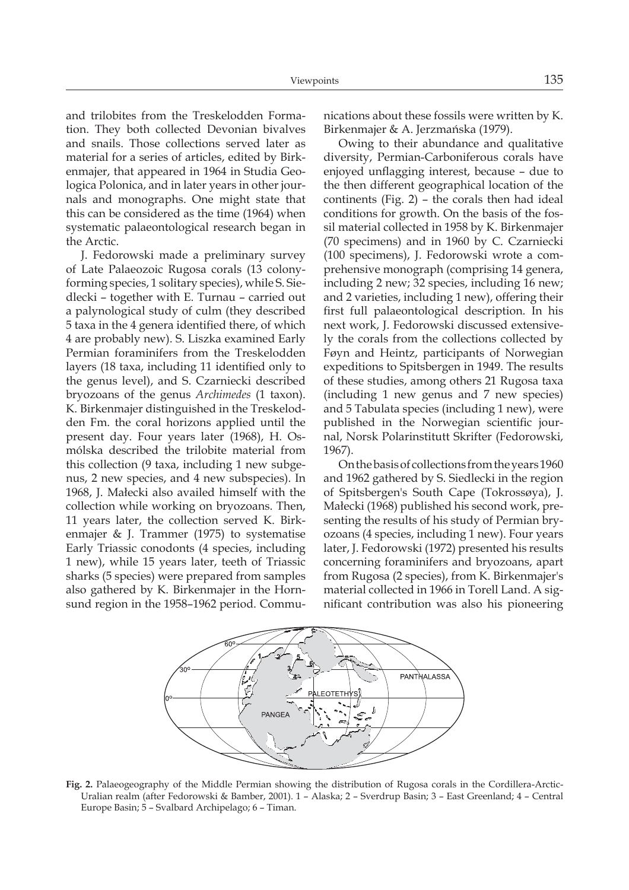and trilobites from the Treskelodden Formation. They both collected Devonian bivalves and snails. Those collections served later as material for a series of articles, edited by Birkenmajer, that appeared in 1964 in Studia Geologica Polonica, and in later years in other journals and monographs. One might state that this can be considered as the time (1964) when systematic palaeontological research began in the Arctic.

J. Fedorowski made a preliminary survey of Late Palaeozoic Rugosa corals (13 colonyforming species, 1 solitary species), while S. Siedlecki – together with E. Turnau – carried out a palynological study of culm (they described 5 taxa in the 4 genera identified there, of which 4 are probably new). S. Liszka examined Early Permian foraminifers from the Treskelodden layers (18 taxa, including 11 identified only to the genus level), and S. Czarniecki described bryozoans of the genus *Archimedes* (1 taxon). K. Birkenmajer distinguished in the Treskelodden Fm. the coral horizons applied until the present day. Four years later (1968), H. Osmólska described the trilobite material from this collection (9 taxa, including 1 new subgenus, 2 new species, and 4 new subspecies). In 1968, J. Małecki also availed himself with the collection while working on bryozoans. Then, 11 years later, the collection served K. Birkenmajer & J. Trammer (1975) to systematise Early Triassic conodonts (4 species, including 1 new), while 15 years later, teeth of Triassic sharks (5 species) were prepared from samples also gathered by K. Birkenmajer in the Hornsund region in the 1958–1962 period. Communications about these fossils were written by K. Birkenmajer & A. Jerzmańska (1979).

Owing to their abundance and qualitative diversity, Permian-Carboniferous corals have enjoyed unflagging interest, because – due to the then different geographical location of the continents (Fig. 2) – the corals then had ideal conditions for growth. On the basis of the fossil material collected in 1958 by K. Birkenmajer (70 specimens) and in 1960 by C. Czarniecki (100 specimens), J. Fedorowski wrote a comprehensive monograph (comprising 14 genera, including 2 new; 32 species, including 16 new; and 2 varieties, including 1 new), offering their first full palaeontological description. In his next work, J. Fedorowski discussed extensively the corals from the collections collected by Føyn and Heintz, participants of Norwegian expeditions to Spitsbergen in 1949. The results of these studies, among others 21 Rugosa taxa (including 1 new genus and 7 new species) and 5 Tabulata species (including 1 new), were published in the Norwegian scientific journal, Norsk Polarinstitutt Skrifter (Fedorowski, 1967).

On the basis of collections from the years 1960 and 1962 gathered by S. Siedlecki in the region of Spitsbergen's South Cape (Tokrossøya), J. Małecki (1968) published his second work, presenting the results of his study of Permian bryozoans (4 species, including 1 new). Four years later, J. Fedorowski (1972) presented his results concerning foraminifers and bryozoans, apart from Rugosa (2 species), from K. Birkenmajer's material collected in 1966 in Torell Land. A significant contribution was also his pioneering



**Fig. 2.** Palaeogeography of the Middle Permian showing the distribution of Rugosa corals in the Cordillera-Arctic-Uralian realm (after Fedorowski & Bamber, 2001). 1 – Alaska; 2 – Sverdrup Basin; 3 – East Greenland; 4 – Central Europe Basin; 5 – Svalbard Archipelago; 6 – Timan.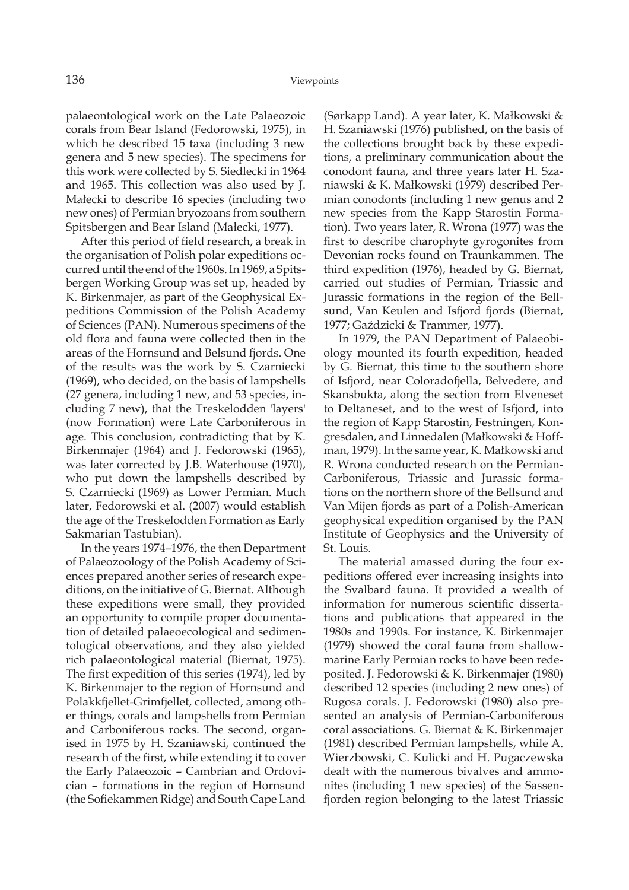palaeontological work on the Late Palaeozoic corals from Bear Island (Fedorowski, 1975), in which he described 15 taxa (including 3 new genera and 5 new species). The specimens for this work were collected by S. Siedlecki in 1964 and 1965. This collection was also used by J. Małecki to describe 16 species (including two new ones) of Permian bryozoans from southern Spitsbergen and Bear Island (Małecki, 1977).

After this period of field research, a break in the organisation of Polish polar expeditions occurred until the end of the 1960s. In 1969, a Spitsbergen Working Group was set up, headed by K. Birkenmajer, as part of the Geophysical Expeditions Commission of the Polish Academy of Sciences (PAN). Numerous specimens of the old flora and fauna were collected then in the areas of the Hornsund and Belsund fjords. One of the results was the work by S. Czarniecki (1969), who decided, on the basis of lampshells (27 genera, including 1 new, and 53 species, including 7 new), that the Treskelodden 'layers' (now Formation) were Late Carboniferous in age. This conclusion, contradicting that by K. Birkenmajer (1964) and J. Fedorowski (1965), was later corrected by J.B. Waterhouse (1970), who put down the lampshells described by S. Czarniecki (1969) as Lower Permian. Much later, Fedorowski et al. (2007) would establish the age of the Treskelodden Formation as Early Sakmarian Tastubian).

In the years 1974–1976, the then Department of Palaeozoology of the Polish Academy of Sciences prepared another series of research expeditions, on the initiative of G. Biernat. Although these expeditions were small, they provided an opportunity to compile proper documentation of detailed palaeoecological and sedimentological observations, and they also yielded rich palaeontological material (Biernat, 1975). The first expedition of this series (1974), led by K. Birkenmajer to the region of Hornsund and Polakkfjellet-Grimfjellet, collected, among other things, corals and lampshells from Permian and Carboniferous rocks. The second, organised in 1975 by H. Szaniawski, continued the research of the first, while extending it to cover the Early Palaeozoic – Cambrian and Ordovician – formations in the region of Hornsund (the Sofiekammen Ridge) and South Cape Land

(Sørkapp Land). A year later, K. Małkowski & H. Szaniawski (1976) published, on the basis of the collections brought back by these expeditions, a preliminary communication about the conodont fauna, and three years later H. Szaniawski & K. Małkowski (1979) described Permian conodonts (including 1 new genus and 2 new species from the Kapp Starostin Formation). Two years later, R. Wrona (1977) was the first to describe charophyte gyrogonites from Devonian rocks found on Traunkammen. The third expedition (1976), headed by G. Biernat, carried out studies of Permian, Triassic and Jurassic formations in the region of the Bellsund, Van Keulen and Isfjord fjords (Biernat, 1977; Gaździcki & Trammer, 1977).

In 1979, the PAN Department of Palaeobiology mounted its fourth expedition, headed by G. Biernat, this time to the southern shore of Isfjord, near Coloradofjella, Belvedere, and Skansbukta, along the section from Elveneset to Deltaneset, and to the west of Isfjord, into the region of Kapp Starostin, Festningen, Kongresdalen, and Linnedalen (Małkowski & Hoffman, 1979). In the same year, K. Małkowski and R. Wrona conducted research on the Permian-Carboniferous, Triassic and Jurassic formations on the northern shore of the Bellsund and Van Mijen fjords as part of a Polish-American geophysical expedition organised by the PAN Institute of Geophysics and the University of St. Louis.

The material amassed during the four expeditions offered ever increasing insights into the Svalbard fauna. It provided a wealth of information for numerous scientific dissertations and publications that appeared in the 1980s and 1990s. For instance, K. Birkenmajer (1979) showed the coral fauna from shallowmarine Early Permian rocks to have been redeposited. J. Fedorowski & K. Birkenmajer (1980) described 12 species (including 2 new ones) of Rugosa corals. J. Fedorowski (1980) also presented an analysis of Permian-Carboniferous coral associations. G. Biernat & K. Birkenmajer (1981) described Permian lampshells, while A. Wierzbowski, C. Kulicki and H. Pugaczewska dealt with the numerous bivalves and ammonites (including 1 new species) of the Sassenfjorden region belonging to the latest Triassic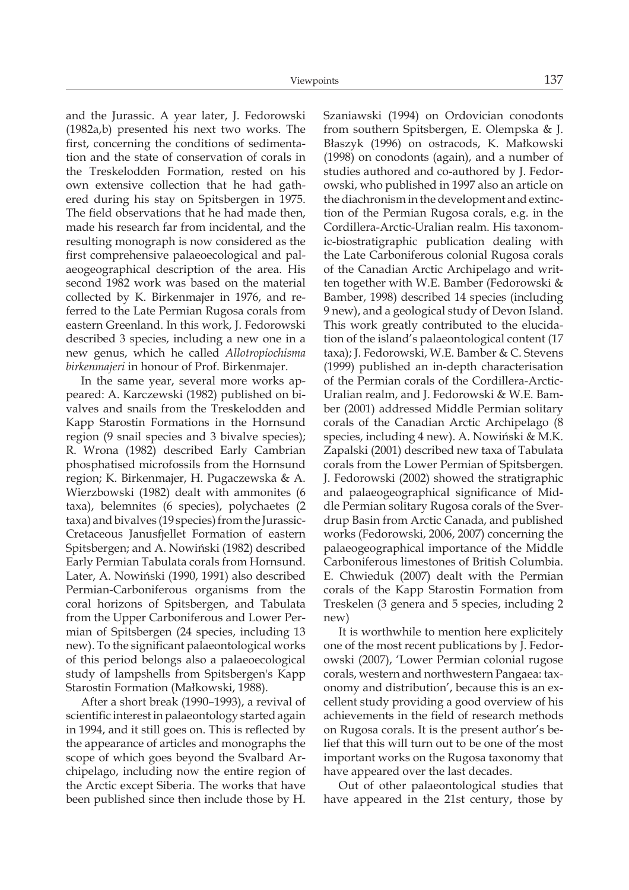and the Jurassic. A year later, J. Fedorowski (1982a,b) presented his next two works. The first, concerning the conditions of sedimentation and the state of conservation of corals in the Treskelodden Formation, rested on his own extensive collection that he had gathered during his stay on Spitsbergen in 1975. The field observations that he had made then, made his research far from incidental, and the resulting monograph is now considered as the first comprehensive palaeoecological and palaeogeographical description of the area. His second 1982 work was based on the material collected by K. Birkenmajer in 1976, and referred to the Late Permian Rugosa corals from eastern Greenland. In this work, J. Fedorowski described 3 species, including a new one in a new genus, which he called *Allotropiochisma birkenmajeri* in honour of Prof. Birkenmajer.

In the same year, several more works appeared: A. Karczewski (1982) published on bivalves and snails from the Treskelodden and Kapp Starostin Formations in the Hornsund region (9 snail species and 3 bivalve species); R. Wrona (1982) described Early Cambrian phosphatised microfossils from the Hornsund region; K. Birkenmajer, H. Pugaczewska & A. Wierzbowski (1982) dealt with ammonites (6 taxa), belemnites (6 species), polychaetes (2 taxa) and bivalves (19 species) from the Jurassic-Cretaceous Janusfjellet Formation of eastern Spitsbergen; and A. Nowiński (1982) described Early Permian Tabulata corals from Hornsund. Later, A. Nowiński (1990, 1991) also described Permian-Carboniferous organisms from the coral horizons of Spitsbergen, and Tabulata from the Upper Carboniferous and Lower Permian of Spitsbergen (24 species, including 13 new). To the significant palaeontological works of this period belongs also a palaeoecological study of lampshells from Spitsbergen's Kapp Starostin Formation (Małkowski, 1988).

After a short break (1990–1993), a revival of scientific interest in palaeontology started again in 1994, and it still goes on. This is reflected by the appearance of articles and monographs the scope of which goes beyond the Svalbard Archipelago, including now the entire region of the Arctic except Siberia. The works that have been published since then include those by H.

Szaniawski (1994) on Ordovician conodonts from southern Spitsbergen, E. Olempska & J. Błaszyk (1996) on ostracods, K. Małkowski (1998) on conodonts (again), and a number of studies authored and co-authored by J. Fedorowski, who published in 1997 also an article on the diachronism in the development and extinction of the Permian Rugosa corals, e.g. in the Cordillera-Arctic-Uralian realm. His taxonomic-biostratigraphic publication dealing with the Late Carboniferous colonial Rugosa corals of the Canadian Arctic Archipelago and written together with W.E. Bamber (Fedorowski & Bamber, 1998) described 14 species (including 9 new), and a geological study of Devon Island. This work greatly contributed to the elucidation of the island's palaeontological content (17 taxa); J. Fedorowski, W.E. Bamber & C. Stevens (1999) published an in-depth characterisation of the Permian corals of the Cordillera-Arctic-Uralian realm, and J. Fedorowski & W.E. Bamber (2001) addressed Middle Permian solitary corals of the Canadian Arctic Archipelago (8 species, including 4 new). A. Nowiński & M.K. Zapalski (2001) described new taxa of Tabulata corals from the Lower Permian of Spitsbergen. J. Fedorowski (2002) showed the stratigraphic and palaeogeographical significance of Middle Permian solitary Rugosa corals of the Sverdrup Basin from Arctic Canada, and published works (Fedorowski, 2006, 2007) concerning the palaeogeographical importance of the Middle Carboniferous limestones of British Columbia. E. Chwieduk (2007) dealt with the Permian corals of the Kapp Starostin Formation from Treskelen (3 genera and 5 species, including 2 new)

It is worthwhile to mention here explicitely one of the most recent publications by J. Fedorowski (2007), 'Lower Permian colonial rugose corals, western and northwestern Pangaea: taxonomy and distribution', because this is an excellent study providing a good overview of his achievements in the field of research methods on Rugosa corals. It is the present author's belief that this will turn out to be one of the most important works on the Rugosa taxonomy that have appeared over the last decades.

Out of other palaeontological studies that have appeared in the 21st century, those by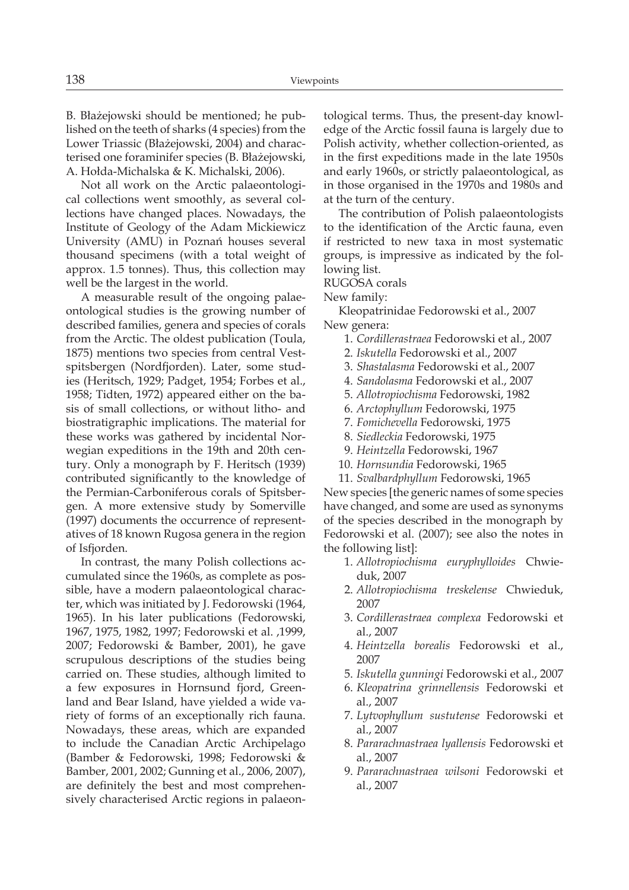B. Błażejowski should be mentioned; he published on the teeth of sharks (4 species) from the Lower Triassic (Błażejowski, 2004) and characterised one foraminifer species (B. Błażejowski, A. Hołda-Michalska & K. Michalski, 2006).

Not all work on the Arctic palaeontological collections went smoothly, as several collections have changed places. Nowadays, the Institute of Geology of the Adam Mickiewicz University (AMU) in Poznań houses several thousand specimens (with a total weight of approx. 1.5 tonnes). Thus, this collection may well be the largest in the world.

A measurable result of the ongoing palaeontological studies is the growing number of described families, genera and species of corals from the Arctic. The oldest publication (Toula, 1875) mentions two species from central Vestspitsbergen (Nordfjorden). Later, some studies (Heritsch, 1929; Padget, 1954; Forbes et al., 1958; Tidten, 1972) appeared either on the basis of small collections, or without litho- and biostratigraphic implications. The material for these works was gathered by incidental Norwegian expeditions in the 19th and 20th century. Only a monograph by F. Heritsch (1939) contributed significantly to the knowledge of the Permian-Carboniferous corals of Spitsbergen. A more extensive study by Somerville (1997) documents the occurrence of representatives of 18 known Rugosa genera in the region of Isfjorden.

In contrast, the many Polish collections accumulated since the 1960s, as complete as possible, have a modern palaeontological character, which was initiated by J. Fedorowski (1964, 1965). In his later publications (Fedorowski, 1967, 1975, 1982, 1997; Fedorowski et al. ,1999, 2007; Fedorowski & Bamber, 2001), he gave scrupulous descriptions of the studies being carried on. These studies, although limited to a few exposures in Hornsund fjord, Greenland and Bear Island, have yielded a wide variety of forms of an exceptionally rich fauna. Nowadays, these areas, which are expanded to include the Canadian Arctic Archipelago (Bamber & Fedorowski, 1998; Fedorowski & Bamber, 2001, 2002; Gunning et al., 2006, 2007), are definitely the best and most comprehensively characterised Arctic regions in palaeontological terms. Thus, the present-day knowledge of the Arctic fossil fauna is largely due to Polish activity, whether collection-oriented, as in the first expeditions made in the late 1950s and early 1960s, or strictly palaeontological, as in those organised in the 1970s and 1980s and at the turn of the century.

The contribution of Polish palaeontologists to the identification of the Arctic fauna, even if restricted to new taxa in most systematic groups, is impressive as indicated by the following list.

RUGOSA corals

New family:

Kleopatrinidae Fedorowski et al., 2007 New genera:

- 1. *Cordillerastraea* Fedorowski et al., 2007
- 2. *Iskutella* Fedorowski et al., 2007
- 3. *Shastalasma* Fedorowski et al., 2007
- 4. *Sandolasma* Fedorowski et al., 2007
- 5. *Allotropiochisma* Fedorowski, 1982
- 6. *Arctophyllum* Fedorowski, 1975
- 7. *Fomichevella* Fedorowski, 1975
- 8. *Siedleckia* Fedorowski, 1975
- 9. *Heintzella* Fedorowski, 1967
- 10. *Hornsundia* Fedorowski, 1965
- 11. *Svalbardphyllum* Fedorowski, 1965

New species [the generic names of some species have changed, and some are used as synonyms of the species described in the monograph by Fedorowski et al. (2007); see also the notes in the following list]:

- 1. *Allotropiochisma euryphylloides* Chwieduk, 2007
- 2. *Allotropiochisma treskelense* Chwieduk, 2007
- 3. *Cordillerastraea complexa* Fedorowski et al., 2007
- 4. *Heintzella borealis* Fedorowski et al., 2007
- 5. *Iskutella gunningi* Fedorowski et al., 2007
- 6. *Kleopatrina grinnellensis* Fedorowski et al., 2007
- 7. *Lytvophyllum sustutense* Fedorowski et al., 2007
- 8. *Pararachnastraea lyallensis* Fedorowski et al., 2007
- 9. *Pararachnastraea wilsoni* Fedorowski et al., 2007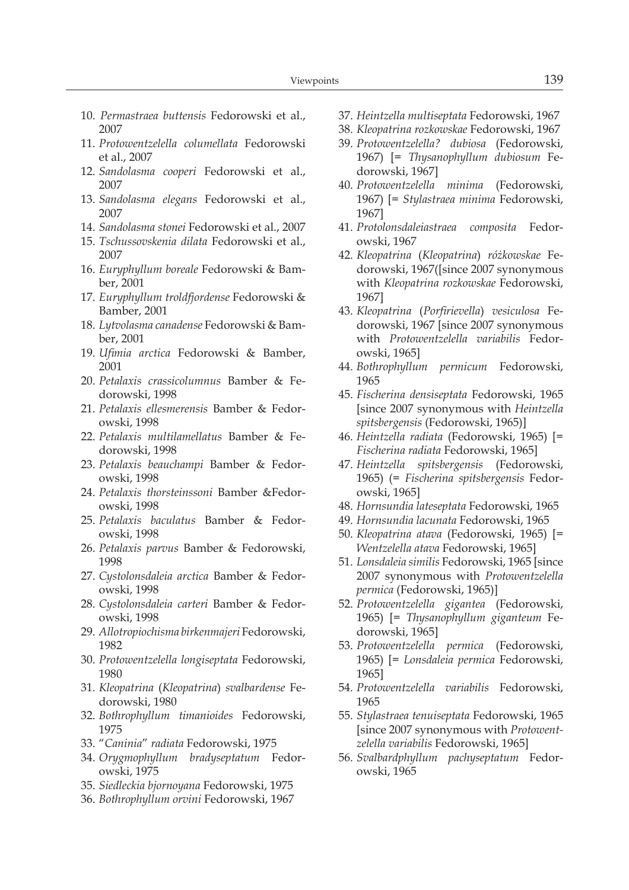- 10. *Permastraea buttensis* Fedorowski et al., 2007
- 11. *Protowentzelella columellata* Fedorowski et al., 2007
- 12. *Sandolasma cooperi* Fedorowski et al., 2007
- 13. *Sandolasma elegans* Fedorowski et al., 2007
- 14. *Sandolasma stonei* Fedorowski et al., 2007
- 15. *Tschussovskenia dilata* Fedorowski et al., 2007
- 16. *Euryphyllum boreale* Fedorowski & Bamber, 2001
- 17. *Euryphyllum troldfjordense* Fedorowski & Bamber, 2001
- 18. *Lytvolasma canadense* Fedorowski & Bamber, 2001
- 19. *Ufimia arctica* Fedorowski & Bamber, 2001
- 20. *Petalaxis crassicolumnus* Bamber & Fedorowski, 1998
- 21. *Petalaxis ellesmerensis* Bamber & Fedorowski, 1998
- 22. *Petalaxis multilamellatus* Bamber & Fedorowski, 1998
- 23. *Petalaxis beauchampi* Bamber & Fedorowski, 1998
- 24. *Petalaxis thorsteinssoni* Bamber &Fedorowski, 1998
- 25. *Petalaxis baculatus* Bamber & Fedorowski, 1998
- 26. *Petalaxis parvus* Bamber & Fedorowski, 1998
- 27. *Cystolonsdaleia arctica* Bamber & Fedorowski, 1998
- 28. *Cystolonsdaleia carteri* Bamber & Fedorowski, 1998
- 29. *Allotropiochisma birkenmajeri* Fedorowski, 1982
- 30. *Protowentzelella longiseptata* Fedorowski, 1980
- 31. *Kleopatrina* (*Kleopatrina*) *svalbardense* Fedorowski, 1980
- 32. *Bothrophyllum timanioides* Fedorowski, 1975
- 33. "*Caninia*" *radiata* Fedorowski, 1975
- 34. *Orygmophyllum bradyseptatum* Fedorowski, 1975
- 35. *Siedleckia bjornoyana* Fedorowski, 1975
- 36. *Bothrophyllum orvini* Fedorowski, 1967
- 37. *Heintzella multiseptata* Fedorowski, 1967
- 38. *Kleopatrina rozkowskae* Fedorowski, 1967
- 39. *Protowentzelella? dubiosa* (Fedorowski, 1967) [= *Thysanophyllum dubiosum* Fedorowski, 1967]
- 40. *Protowentzelella minima* (Fedorowski, 1967) [= *Stylastraea minima* Fedorowski, 1967]
- 41. *Protolonsdaleiastraea composita* Fedorowski, 1967
- 42. *Kleopatrina* (*Kleopatrina*) *różkowskae* Fedorowski, 1967([since 2007 synonymous with *Kleopatrina rozkowskae* Fedorowski, 1967]
- 43. *Kleopatrina* (*Porfi rievella*) *vesiculosa* Fedorowski, 1967 [since 2007 synonymous with *Protowentzelella variabilis* Fedorowski, 1965]
- 44. *Bothrophyllum permicum* Fedorowski, 1965
- 45. *Fischerina densiseptata* Fedorowski, 1965 [since 2007 synonymous with *Heintzella spitsbergensis* (Fedorowski, 1965)]
- 46. *Heintzella radiata* (Fedorowski, 1965) [= *Fischerina radiata* Fedorowski, 1965]
- 47. *Heintzella spitsbergensis* (Fedorowski, 1965) (= *Fischerina spitsbergensis* Fedorowski, 1965]
- 48. *Hornsundia lateseptata* Fedorowski, 1965
- 49. *Hornsundia lacunata* Fedorowski, 1965
- 50. *Kleopatrina atava* (Fedorowski, 1965) [= *Wentzelella atava* Fedorowski, 1965]
- 51. *Lonsdaleia similis* Fedorowski, 1965 [since 2007 synonymous with *Protowentzelella permica* (Fedorowski, 1965)]
- 52. *Protowentzelella gigantea* (Fedorowski, 1965) [= *Thysanophyllum giganteum* Fedorowski, 1965]
- 53. *Protowentzelella permica* (Fedorowski, 1965) [= *Lonsdaleia permica* Fedorowski, 1965]
- 54. *Protowentzelella variabilis* Fedorowski, 1965
- 55. *Stylastraea tenuiseptata* Fedorowski, 1965 [since 2007 synonymous with *Protowentzelella variabilis* Fedorowski, 1965]
- 56. *Svalbardphyllum pachyseptatum* Fedorowski, 1965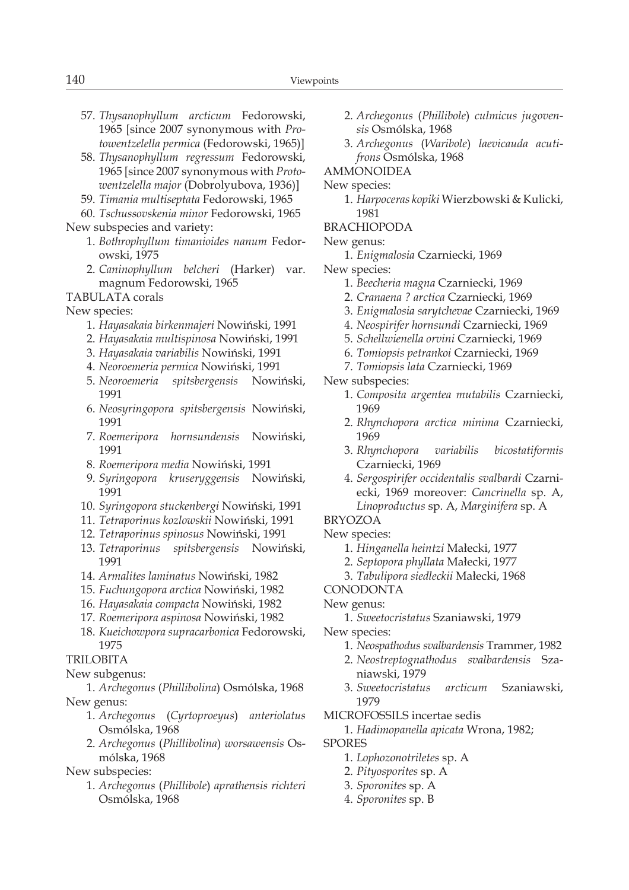- 57. *Thysanophyllum arcticum* Fedorowski, 1965 [since 2007 synonymous with *Protowentzelella permica* (Fedorowski, 1965)]
- 58. *Thysanophyllum regressum* Fedorowski, 1965 [since 2007 synonymous with *Protowentzelella major* (Dobrolyubova, 1936)]
- 59. *Timania multiseptata* Fedorowski, 1965
- 60. *Tschussovskenia minor* Fedorowski, 1965

New subspecies and variety:

- 1. *Bothrophyllum timanioides nanum* Fedorowski, 1975
- 2. *Caninophyllum belcheri* (Harker) var. magnum Fedorowski, 1965
- TABULATA corals

New species:

- 1. *Hayasakaia birkenmajeri* Nowiński, 1991
- 2. *Hayasakaia multispinosa* Nowiński, 1991
- 3. *Hayasakaia variabilis* Nowiński, 1991
- 4. *Neoroemeria permica* Nowiński, 1991
- 5. *Neoroemeria spitsbergensis* Nowiński, 1991
- 6. *Neosyringopora spitsbergensis* Nowiński, 1991
- 7. *Roemeripora hornsundensis* Nowiński, 1991
- 8. *Roemeripora media* Nowiński, 1991
- 9. *Syringopora kruseryggensis* Nowiński, 1991
- 10. *Syringopora stuckenbergi* Nowiński, 1991
- 11. *Tetraporinus kozlowskii* Nowiński, 1991
- 12. *Tetraporinus spinosus* Nowiński, 1991
- 13. *Tetraporinus spitsbergensis* Nowiński, 1991
- 14. *Armalites laminatus* Nowiński, 1982
- 15. *Fuchungopora arctica* Nowiński, 1982
- 16. *Hayasakaia compacta* Nowiński, 1982
- 17. *Roemeripora aspinosa* Nowiński, 1982
- 18. *Kueichowpora supracarbonica* Fedorowski, 1975

#### TRILOBITA

New subgenus:

 1. *Archegonus* (*Phillibolina*) Osmólska, 1968 New genus:

- 1. *Archegonus* (*Cyrtoproeyus*) *anteriolatus* Osmólska, 1968
- 2. *Archegonus* (*Phillibolina*) *worsawensis* Osmólska, 1968

New subspecies:

 1. *Archegonus* (*Phillibole*) *aprathensis richteri* Osmólska, 1968

- 2. *Archegonus* (*Phillibole*) *culmicus jugovensis* Osmólska, 1968
- 3. *Archegonus* (*Waribole*) *laevicauda acutifrons* Osmólska, 1968
- AMMONOIDEA

New species:

 1. *Harpoceras kopiki* Wierzbowski & Kulicki, 1981

BRACHIOPODA

### New genus:

1. *Enigmalosia* Czarniecki, 1969

New species:

- 1. *Beecheria magna* Czarniecki, 1969
- 2. *Cranaena ? arctica* Czarniecki, 1969
- 3. *Enigmalosia sarytchevae* Czarniecki, 1969
- 4. *Neospirifer hornsundi* Czarniecki, 1969
- 5. *Schellwienella orvini* Czarniecki, 1969
- 6. *Tomiopsis petrankoi* Czarniecki, 1969
- 7. *Tomiopsis lata* Czarniecki, 1969
- New subspecies:
	- 1. *Composita argentea mutabilis* Czarniecki, 1969
	- 2. *Rhynchopora arctica minima* Czarniecki, 1969
	- 3. *Rhynchopora variabilis bicostatiformis*  Czarniecki, 1969
	- 4. *Sergospirifer occidentalis svalbardi* Czarniecki, 1969 moreover: *Cancrinella* sp. A, *Linoproductus* sp. A, *Marginifera* sp. A

# BRYOZOA

- New species:
	- 1. *Hinganella heintzi* Małecki, 1977
	- 2. *Septopora phyllata* Małecki, 1977
	- 3. *Tabulipora siedleckii* Małecki, 1968
- CONODONTA

#### New genus:

1. *Sweetocristatus* Szaniawski, 1979

New species:

- 1. *Neospathodus svalbardensis* Trammer, 1982
- 2. *Neostreptognathodus svalbardensis* Szaniawski, 1979
- 3. *Sweetocristatus arcticum* Szaniawski, 1979

MICROFOSSILS incertae sedis

1. *Hadimopanella apicata* Wrona, 1982;

SPORES

- 1. *Lophozonotriletes* sp. A
- 2. *Pityosporites* sp. A
- 3. *Sporonites* sp. A
- 4. *Sporonites* sp. B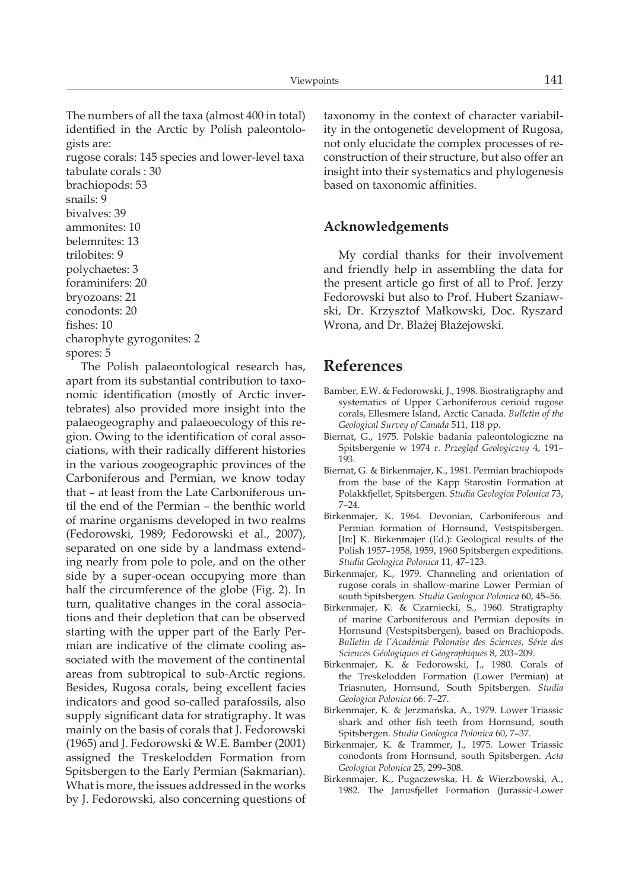The numbers of all the taxa (almost 400 in total) identified in the Arctic by Polish paleontologists are:

rugose corals: 145 species and lower-level taxa tabulate corals : 30 brachiopods: 53 snails: 9

bivalves: 39 ammonites: 10 belemnites: 13 trilobites: 9 polychaetes: 3 foraminifers: 20 bryozoans: 21 conodonts: 20 fishes: 10 charophyte gyrogonites: 2 spores: 5

The Polish palaeontological research has, apart from its substantial contribution to taxonomic identification (mostly of Arctic invertebrates) also provided more insight into the palaeogeography and palaeoecology of this region. Owing to the identification of coral associations, with their radically different histories in the various zoogeographic provinces of the Carboniferous and Permian, we know today that – at least from the Late Carboniferous until the end of the Permian – the benthic world of marine organisms developed in two realms (Fedorowski, 1989; Fedorowski et al., 2007), separated on one side by a landmass extending nearly from pole to pole, and on the other side by a super-ocean occupying more than half the circumference of the globe (Fig. 2). In turn, qualitative changes in the coral associations and their depletion that can be observed starting with the upper part of the Early Permian are indicative of the climate cooling associated with the movement of the continental areas from subtropical to sub-Arctic regions. Besides, Rugosa corals, being excellent facies indicators and good so-called parafossils, also supply significant data for stratigraphy. It was mainly on the basis of corals that J. Fedorowski (1965) and J. Fedorowski & W.E. Bamber (2001) assigned the Treskelodden Formation from Spitsbergen to the Early Permian (Sakmarian). What is more, the issues addressed in the works by J. Fedorowski, also concerning questions of

taxonomy in the context of character variability in the ontogenetic development of Rugosa, not only elucidate the complex processes of reconstruction of their structure, but also offer an insight into their systematics and phylogenesis based on taxonomic affinities.

### **Acknowledgements**

My cordial thanks for their involvement and friendly help in assembling the data for the present article go first of all to Prof. Jerzy Fedorowski but also to Prof. Hubert Szaniawski, Dr. Krzysztof Małkowski, Doc. Ryszard Wrona, and Dr. Błażej Błażejowski.

## **References**

- Bamber, E.W. & Fedorowski, J., 1998. Biostratigraphy and systematics of Upper Carboniferous cerioid rugose corals, Ellesmere Island, Arctic Canada. *Bulletin of the Geological Survey of Canada* 511, 118 pp.
- Biernat, G., 1975. Polskie badania paleontologiczne na Spitsbergenie w 1974 r. *Przegląd Geologiczny* 4, 191– 193.
- Biernat, G. & Birkenmajer, K., 1981. Permian brachiopods from the base of the Kapp Starostin Formation at Polakkfjellet, Spitsbergen. *Studia Geologica Polonica* 73, 7–24.
- Birkenmajer, K. 1964. Devonian, Carboniferous and Permian formation of Hornsund, Vestspitsbergen. [In:] K. Birkenmajer (Ed.): Geological results of the Polish 1957–1958, 1959, 1960 Spitsbergen expeditions. *Studia Geologica Polonica* 11, 47–123.
- Birkenmajer, K., 1979. Channeling and orientation of rugose corals in shallow-marine Lower Permian of south Spitsbergen. *Studia Geologica Polonica* 60, 45–56.
- Birkenmajer, K. & Czarniecki, S., 1960. Stratigraphy of marine Carboniferous and Permian deposits in Hornsund (Vestspitsbergen), based on Brachiopods. *Bulletin de l'Académie Polonaise des Sciences, Série des Sciences Géologiques et Géographiques* 8, 203–209.
- Birkenmajer, K. & Fedorowski, J., 1980. Corals of the Treskelodden Formation (Lower Permian) at Triasnuten, Hornsund, South Spitsbergen. *Studia Geologica Polonica* 66: 7–27.
- Birkenmajer, K. & Jerzmańska, A., 1979. Lower Triassic shark and other fish teeth from Hornsund, south Spitsbergen. *Studia Geologica Polonica* 60, 7–37.
- Birkenmajer, K. & Trammer, J., 1975. Lower Triassic conodonts from Hornsund, south Spitsbergen. *Acta Geologica Polonica* 25, 299–308.
- Birkenmajer, K., Pugaczewska, H. & Wierzbowski, A., 1982. The Janusfjellet Formation (Jurassic-Lower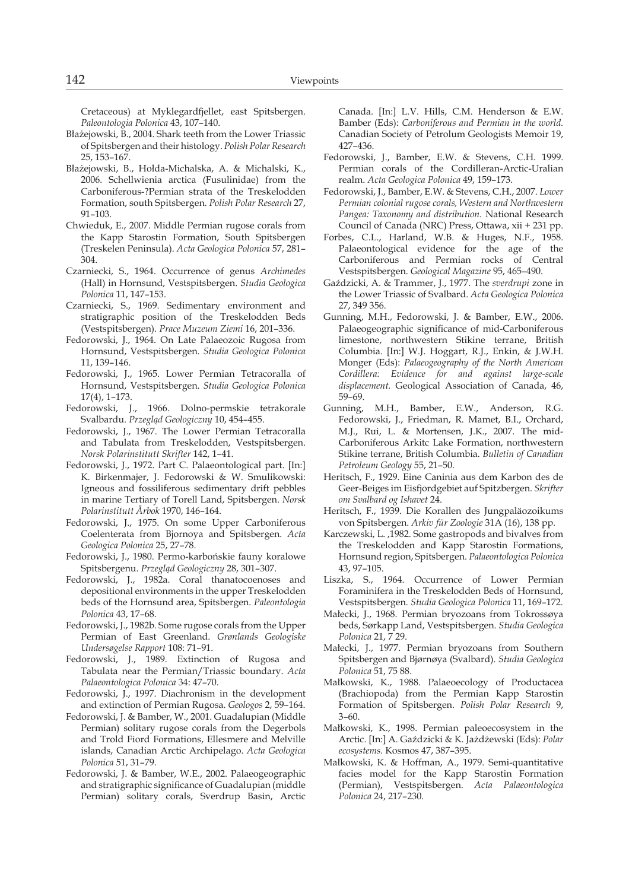Cretaceous) at Myklegardfjellet, east Spitsbergen. *Paleontologia Polonica* 43, 107–140.

- Błażejowski, B., 2004. Shark teeth from the Lower Triassic of Spitsbergen and their histology. *Polish Polar Research* 25, 153–167.
- Błażejowski, B., Hołda-Michalska, A. & Michalski, K., 2006. Schellwienia arctica (Fusulinidae) from the Carboniferous-?Permian strata of the Treskelodden Formation, south Spitsbergen. *Polish Polar Research* 27, 91–103.
- Chwieduk, E., 2007. Middle Permian rugose corals from the Kapp Starostin Formation, South Spitsbergen (Treskelen Peninsula). *Acta Geologica Polonica* 57, 281– 304.
- Czarniecki, S., 1964. Occurrence of genus *Archimedes* (Hall) in Hornsund, Vestspitsbergen. *Studia Geologica Polonica* 11, 147–153.
- Czarniecki, S., 1969. Sedimentary environment and stratigraphic position of the Treskelodden Beds (Vestspitsbergen). *Prace Muzeum Ziemi* 16, 201–336.
- Fedorowski, J., 1964. On Late Palaeozoic Rugosa from Hornsund, Vestspitsbergen. *Studia Geologica Polonica*  11, 139–146.
- Fedorowski, J., 1965. Lower Permian Tetracoralla of Hornsund, Vestspitsbergen. *Studia Geologica Polonica* 17(4), 1–173.
- Fedorowski, J., 1966. Dolno-permskie tetrakorale Svalbardu. *Przegląd Geologiczny* 10, 454–455.
- Fedorowski, J., 1967. The Lower Permian Tetracoralla and Tabulata from Treskelodden, Vestspitsbergen. *Norsk Polarinstitutt Skrifter* 142, 1–41.
- Fedorowski, J., 1972. Part C. Palaeontological part. [In:] K. Birkenmajer, J. Fedorowski & W. Smulikowski: Igneous and fossiliferous sedimentary drift pebbles in marine Tertiary of Torell Land, Spitsbergen. *Norsk Polarinstitutt Årbok* 1970, 146–164.
- Fedorowski, J., 1975. On some Upper Carboniferous Coelenterata from Bjornoya and Spitsbergen. *Acta Geologica Polonica* 25, 27–78.
- Fedorowski, J., 1980. Permo-karbońskie fauny koralowe Spitsbergenu. *Przegląd Geologiczny* 28, 301–307.
- Fedorowski, J., 1982a. Coral thanatocoenoses and depositional environments in the upper Treskelodden beds of the Hornsund area, Spitsbergen. *Paleontologia Polonica* 43, 17–68.
- Fedorowski, J., 1982b. Some rugose corals from the Upper Permian of East Greenland. *Grønlands Geologiske Undersøgelse Rapport* 108: 71–91.
- Fedorowski, J., 1989. Extinction of Rugosa and Tabulata near the Permian/Triassic boundary. *Acta Palaeontologica Polonica* 34: 47–70.
- Fedorowski, J., 1997. Diachronism in the development and extinction of Permian Rugosa. *Geologos* 2, 59–164.
- Fedorowski, J. & Bamber, W., 2001. Guadalupian (Middle Permian) solitary rugose corals from the Degerbols and Trold Fiord Formations, Ellesmere and Melville islands, Canadian Arctic Archipelago. *Acta Geologica Polonica* 51, 31–79.
- Fedorowski, J. & Bamber, W.E., 2002. Palaeogeographic and stratigraphic significance of Guadalupian (middle Permian) solitary corals, Sverdrup Basin, Arctic

Canada. [In:] L.V. Hills, C.M. Henderson & E.W. Bamber (Eds): *Carboniferous and Permian in the world.* Canadian Society of Petrolum Geologists Memoir 19, 427–436.

- Fedorowski, J., Bamber, E.W. & Stevens, C.H. 1999. Permian corals of the Cordilleran-Arctic-Uralian realm. *Acta Geologica Polonica* 49, 159–173.
- Fedorowski, J., Bamber, E.W. & Stevens, C.H., 2007. *Lower Permian colonial rugose corals, Western and Northwestern Pangea: Taxonomy and distribution.* National Research Council of Canada (NRC) Press, Ottawa, xii + 231 pp.
- Forbes, C.L., Harland, W.B. & Huges, N.F., 1958. Palaeontological evidence for the age of the Carboniferous and Permian rocks of Central Vestspitsbergen. *Geological Magazine* 95, 465–490.
- Gaździcki, A. & Trammer, J., 1977. The *sverdrupi* zone in the Lower Triassic of Svalbard. *Acta Geologica Polonica* 27, 349 356.
- Gunning, M.H., Fedorowski, J. & Bamber, E.W., 2006. Palaeogeographic significance of mid-Carboniferous limestone, northwestern Stikine terrane, British Columbia. [In:] W.J. Hoggart, R.J., Enkin, & J.W.H. Monger (Eds): *Palaeogeography of the North American Cordillera: Evidence for and against large-scale displacement.* Geological Association of Canada, 46, 59–69.
- Gunning, M.H., Bamber, E.W., Anderson, R.G. Fedorowski, J., Friedman, R. Mamet, B.I., Orchard, M.J., Rui, L. & Mortensen, J.K., 2007. The mid-Carboniferous Arkitc Lake Formation, northwestern Stikine terrane, British Columbia. *Bulletin of Canadian Petroleum Geology* 55, 21–50.
- Heritsch, F., 1929. Eine Caninia aus dem Karbon des de Geer-Beiges im Eisfjordgebiet auf Spitzbergen. *Skrifter om Svalbard og Ishavet* 24.
- Heritsch, F., 1939. Die Korallen des Jungpaläozoikums von Spitsbergen. *Arkiv für Zoologie* 31A (16), 138 pp.
- Karczewski, L. ,1982. Some gastropods and bivalves from the Treskelodden and Kapp Starostin Formations, Hornsund region, Spitsbergen. *Palaeontologica Polonica* 43, 97–105.
- Liszka, S., 1964. Occurrence of Lower Permian Foraminifera in the Treskelodden Beds of Hornsund, Vestspitsbergen. *Studia Geologica Polonica* 11, 169–172.
- Małecki, J., 1968. Permian bryozoans from Tokrossøya beds, Sørkapp Land, Vestspitsbergen. *Studia Geologica Polonica* 21, 7 29.
- Małecki, J., 1977. Permian bryozoans from Southern Spitsbergen and Bjørnøya (Svalbard). *Studia Geologica Polonica* 51, 75 88.
- Małkowski, K., 1988. Palaeoecology of Productacea (Brachiopoda) from the Permian Kapp Starostin Formation of Spitsbergen. *Polish Polar Research* 9,  $3 - 60.$
- Małkowski, K., 1998. Permian paleoecosystem in the Arctic. [In:] A. Gaździcki & K. Jażdżewski (Eds): *Polar ecosystems.* Kosmos 47, 387–395.
- Małkowski, K. & Hoffman, A., 1979. Semi-quantitative facies model for the Kapp Starostin Formation (Permian), Vestspitsbergen. *Acta Palaeontologica Polonica* 24, 217–230.